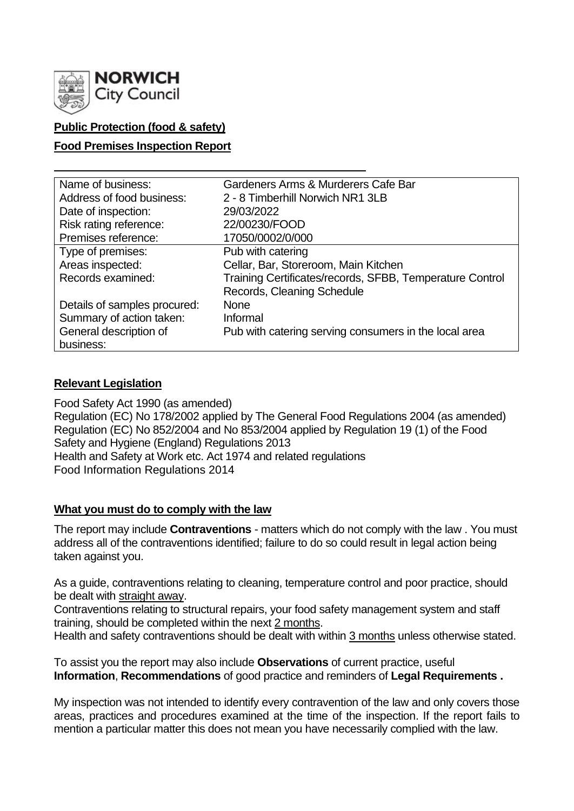

## **Public Protection (food & safety)**

### **Food Premises Inspection Report**

| Name of business:            | Gardeners Arms & Murderers Cafe Bar                      |
|------------------------------|----------------------------------------------------------|
| Address of food business:    | 2 - 8 Timberhill Norwich NR1 3LB                         |
| Date of inspection:          | 29/03/2022                                               |
| Risk rating reference:       | 22/00230/FOOD                                            |
| Premises reference:          | 17050/0002/0/000                                         |
| Type of premises:            | Pub with catering                                        |
| Areas inspected:             | Cellar, Bar, Storeroom, Main Kitchen                     |
| Records examined:            | Training Certificates/records, SFBB, Temperature Control |
|                              | Records, Cleaning Schedule                               |
| Details of samples procured: | <b>None</b>                                              |
| Summary of action taken:     | Informal                                                 |
| General description of       | Pub with catering serving consumers in the local area    |
| business:                    |                                                          |

## **Relevant Legislation**

Food Safety Act 1990 (as amended) Regulation (EC) No 178/2002 applied by The General Food Regulations 2004 (as amended) Regulation (EC) No 852/2004 and No 853/2004 applied by Regulation 19 (1) of the Food Safety and Hygiene (England) Regulations 2013 Health and Safety at Work etc. Act 1974 and related regulations Food Information Regulations 2014

#### **What you must do to comply with the law**

The report may include **Contraventions** - matters which do not comply with the law . You must address all of the contraventions identified; failure to do so could result in legal action being taken against you.

As a guide, contraventions relating to cleaning, temperature control and poor practice, should be dealt with straight away.

Contraventions relating to structural repairs, your food safety management system and staff training, should be completed within the next 2 months.

Health and safety contraventions should be dealt with within 3 months unless otherwise stated.

To assist you the report may also include **Observations** of current practice, useful **Information**, **Recommendations** of good practice and reminders of **Legal Requirements .**

My inspection was not intended to identify every contravention of the law and only covers those areas, practices and procedures examined at the time of the inspection. If the report fails to mention a particular matter this does not mean you have necessarily complied with the law.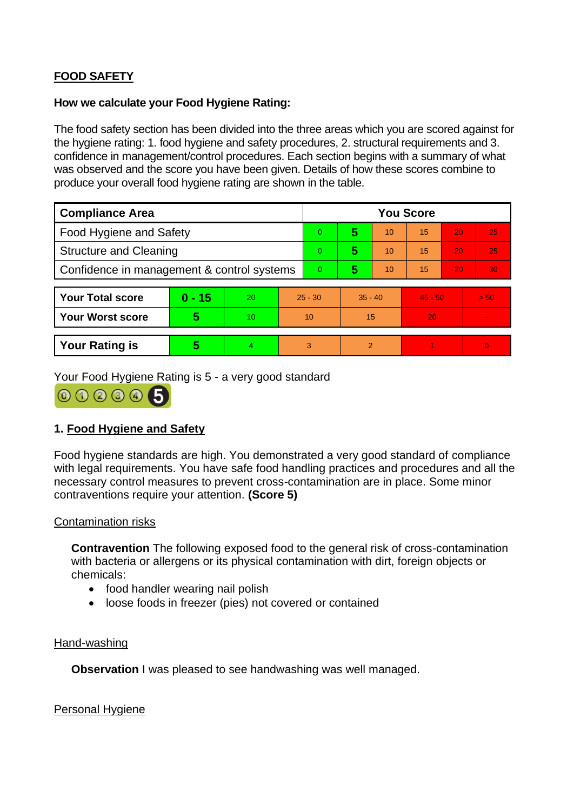# **FOOD SAFETY**

#### **How we calculate your Food Hygiene Rating:**

The food safety section has been divided into the three areas which you are scored against for the hygiene rating: 1. food hygiene and safety procedures, 2. structural requirements and 3. confidence in management/control procedures. Each section begins with a summary of what was observed and the score you have been given. Details of how these scores combine to produce your overall food hygiene rating are shown in the table.

| <b>Compliance Area</b>                     |          |    |           | <b>You Score</b> |           |    |           |    |      |  |  |
|--------------------------------------------|----------|----|-----------|------------------|-----------|----|-----------|----|------|--|--|
| <b>Food Hygiene and Safety</b>             |          |    |           | 0                | 5         | 10 | 15        | 20 | 25   |  |  |
| <b>Structure and Cleaning</b>              |          |    |           | $\overline{0}$   | 5         | 10 | 15        | 20 | 25   |  |  |
| Confidence in management & control systems |          |    |           | $\overline{0}$   | 5         | 10 | 15        | 20 | 30   |  |  |
|                                            |          |    |           |                  |           |    |           |    |      |  |  |
| <b>Your Total score</b>                    | $0 - 15$ | 20 | $25 - 30$ |                  | $35 - 40$ |    | $45 - 50$ |    | > 50 |  |  |
| <b>Your Worst score</b>                    | 5        | 10 | 10        |                  | 15        |    | 20        |    |      |  |  |
|                                            |          |    |           |                  |           |    |           |    |      |  |  |
| <b>Your Rating is</b>                      | 5        | 4  | 3         |                  | 2         |    |           |    |      |  |  |

Your Food Hygiene Rating is 5 - a very good standard



## **1. Food Hygiene and Safety**

Food hygiene standards are high. You demonstrated a very good standard of compliance with legal requirements. You have safe food handling practices and procedures and all the necessary control measures to prevent cross-contamination are in place. Some minor contraventions require your attention. **(Score 5)**

#### Contamination risks

**Contravention** The following exposed food to the general risk of cross-contamination with bacteria or allergens or its physical contamination with dirt, foreign objects or chemicals:

- food handler wearing nail polish
- loose foods in freezer (pies) not covered or contained

#### Hand-washing

**Observation I** was pleased to see handwashing was well managed.

Personal Hygiene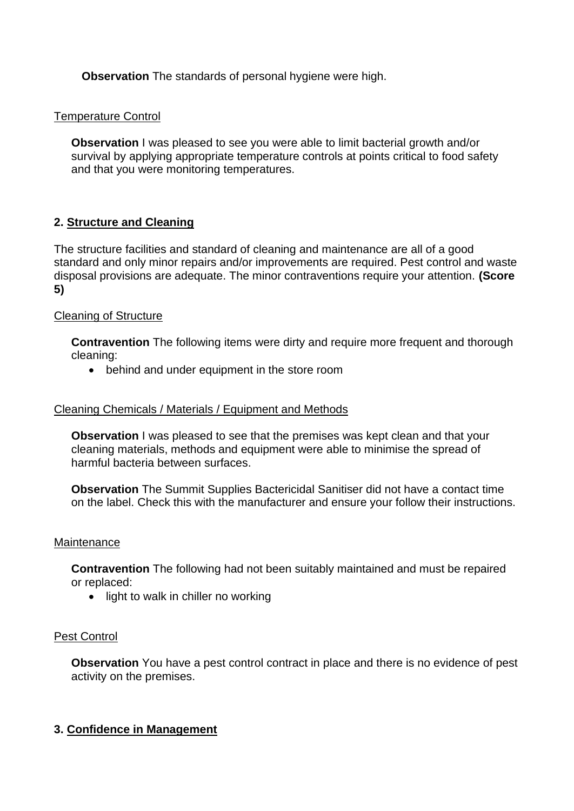**Observation** The standards of personal hygiene were high.

### Temperature Control

**Observation** I was pleased to see you were able to limit bacterial growth and/or survival by applying appropriate temperature controls at points critical to food safety and that you were monitoring temperatures.

## **2. Structure and Cleaning**

The structure facilities and standard of cleaning and maintenance are all of a good standard and only minor repairs and/or improvements are required. Pest control and waste disposal provisions are adequate. The minor contraventions require your attention. **(Score 5)**

#### Cleaning of Structure

**Contravention** The following items were dirty and require more frequent and thorough cleaning:

• behind and under equipment in the store room

#### Cleaning Chemicals / Materials / Equipment and Methods

**Observation** I was pleased to see that the premises was kept clean and that your cleaning materials, methods and equipment were able to minimise the spread of harmful bacteria between surfaces.

**Observation** The Summit Supplies Bactericidal Sanitiser did not have a contact time on the label. Check this with the manufacturer and ensure your follow their instructions.

#### **Maintenance**

**Contravention** The following had not been suitably maintained and must be repaired or replaced:

• light to walk in chiller no working

#### Pest Control

**Observation** You have a pest control contract in place and there is no evidence of pest activity on the premises.

#### **3. Confidence in Management**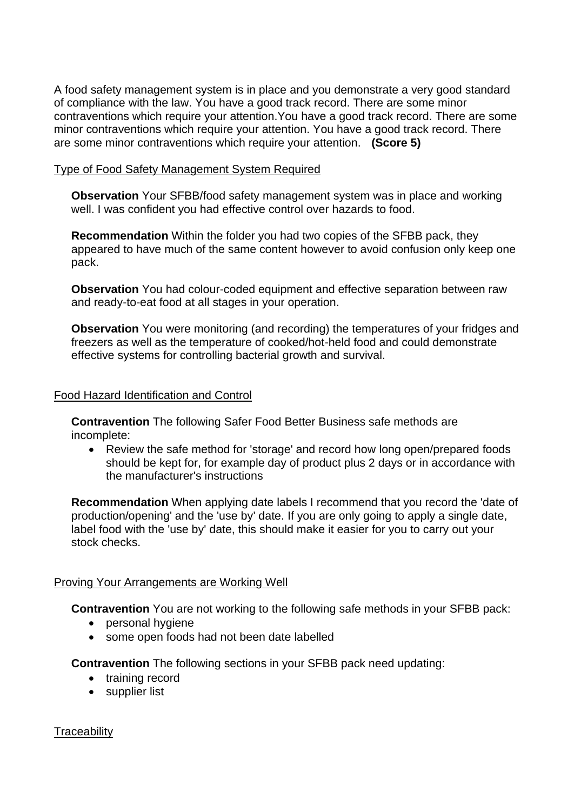A food safety management system is in place and you demonstrate a very good standard of compliance with the law. You have a good track record. There are some minor contraventions which require your attention.You have a good track record. There are some minor contraventions which require your attention. You have a good track record. There are some minor contraventions which require your attention. **(Score 5)**

#### Type of Food Safety Management System Required

**Observation** Your SFBB/food safety management system was in place and working well. I was confident you had effective control over hazards to food.

**Recommendation** Within the folder you had two copies of the SFBB pack, they appeared to have much of the same content however to avoid confusion only keep one pack.

**Observation** You had colour-coded equipment and effective separation between raw and ready-to-eat food at all stages in your operation.

**Observation** You were monitoring (and recording) the temperatures of your fridges and freezers as well as the temperature of cooked/hot-held food and could demonstrate effective systems for controlling bacterial growth and survival.

#### Food Hazard Identification and Control

**Contravention** The following Safer Food Better Business safe methods are incomplete:

• Review the safe method for 'storage' and record how long open/prepared foods should be kept for, for example day of product plus 2 days or in accordance with the manufacturer's instructions

**Recommendation** When applying date labels I recommend that you record the 'date of production/opening' and the 'use by' date. If you are only going to apply a single date, label food with the 'use by' date, this should make it easier for you to carry out your stock checks.

#### Proving Your Arrangements are Working Well

**Contravention** You are not working to the following safe methods in your SFBB pack:

- personal hygiene
- some open foods had not been date labelled

**Contravention** The following sections in your SFBB pack need updating:

- training record
- supplier list

**Traceability**